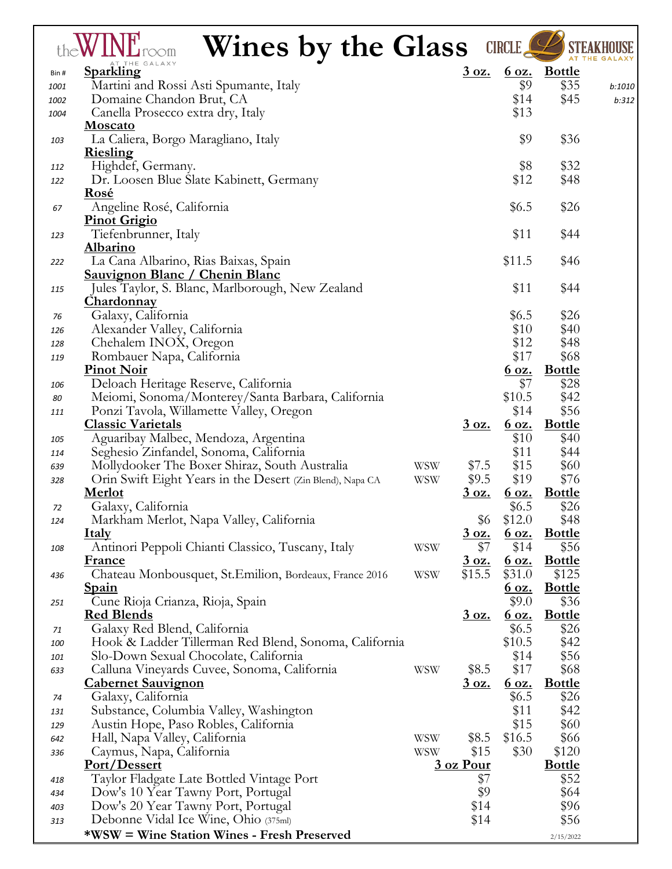|      | <b>Wines by the Glass</b>                                 |            |              | <b>CIRCLE</b> |                     |        |
|------|-----------------------------------------------------------|------------|--------------|---------------|---------------------|--------|
| Bin# | AT THE GALAXY<br>Sparkling                                |            | <u>3 oz.</u> |               | <u>6 oz. Bottle</u> |        |
| 1001 | Martini and Rossi Asti Spumante, Italy                    |            |              | \$9           | \$35                | b:1010 |
| 1002 | Domaine Chandon Brut, CA                                  |            |              | \$14          | \$45                | b:312  |
| 1004 | Canella Prosecco extra dry, Italy                         |            |              | \$13          |                     |        |
|      | <b>Moscato</b>                                            |            |              |               |                     |        |
| 103  | La Caliera, Borgo Maragliano, Italy                       |            |              | \$9           | \$36                |        |
|      | <u>Riesling</u>                                           |            |              |               |                     |        |
| 112  | Highdef, Germany.                                         |            |              | \$8           | \$32                |        |
| 122  | Dr. Loosen Blue Slate Kabinett, Germany                   |            |              | \$12          | \$48                |        |
|      | Rosé                                                      |            |              |               |                     |        |
| 67   | Angeline Rosé, California                                 |            |              | \$6.5         | \$26                |        |
|      | Pinot Grigio                                              |            |              |               |                     |        |
| 123  | Tiefenbrunner, Italy                                      |            |              | \$11          | \$44                |        |
|      | Albarino                                                  |            |              |               |                     |        |
| 222  | La Cana Albarino, Rias Baixas, Spain                      |            |              | \$11.5        | \$46                |        |
|      | Sauvignon Blanc / Chenin Blanc                            |            |              |               |                     |        |
| 115  | Jules Taylor, S. Blanc, Marlborough, New Zealand          |            |              | \$11          | \$44                |        |
|      | Chardonnay                                                |            |              |               |                     |        |
| 76   | Galaxy, California                                        |            |              | \$6.5         | \$26                |        |
| 126  | Alexander Valley, California                              |            |              | \$10          | \$40                |        |
| 128  | Chehalem INOX, Oregon                                     |            |              | \$12          | \$48                |        |
| 119  | Rombauer Napa, California                                 |            |              | \$17          | \$68                |        |
|      | <b>Pinot Noir</b>                                         |            |              | <u>6 oz.</u>  | <b>Bottle</b>       |        |
| 106  | Deloach Heritage Reserve, California                      |            |              | \$7           | \$28                |        |
| 80   | Meiomi, Sonoma/Monterey/Santa Barbara, California         |            |              | \$10.5        | \$42                |        |
|      | Ponzi Tavola, Willamette Valley, Oregon                   |            |              | \$14          | \$56                |        |
| 111  | <b>Classic Varietals</b>                                  |            | <u>3 oz.</u> | <u>6 oz.</u>  | <b>Bottle</b>       |        |
|      |                                                           |            |              | \$10          | \$40                |        |
| 105  | Aguaribay Malbec, Mendoza, Argentina                      |            |              |               |                     |        |
| 114  | Seghesio Zinfandel, Sonoma, California                    |            |              | \$11          | \$44                |        |
| 639  | Mollydooker The Boxer Shiraz, South Australia             | <b>WSW</b> | \$7.5        | \$15          | \$60                |        |
| 328  | Orin Swift Eight Years in the Desert (Zin Blend), Napa CA | <b>WSW</b> | \$9.5        | \$19          | \$76                |        |
|      | <b>Merlot</b>                                             |            | <u>3 oz.</u> | <u>6 oz.</u>  | <u>Bottle</u>       |        |
| 72   | Galaxy, California                                        |            |              | \$6.5         | \$26                |        |
| 124  | Markham Merlot, Napa Valley, California                   |            | \$6          | \$12.0        | \$48                |        |
|      | <u>Italy</u>                                              |            | 3 oz.        | <u>6 oz.</u>  | <b>Bottle</b>       |        |
| 108  | Antinori Peppoli Chianti Classico, Tuscany, Italy         | <b>WSW</b> | \$7          | \$14          | \$56                |        |
|      | <b>France</b>                                             |            | <u>3 oz.</u> | <u>6 oz.</u>  | <b>Bottle</b>       |        |
| 436  | Chateau Monbousquet, St.Emilion, Bordeaux, France 2016    | <b>WSW</b> | \$15.5       | \$31.0        | \$125               |        |
|      | <b>Spain</b>                                              |            |              | <u>6 oz.</u>  | <b>Bottle</b>       |        |
| 251  | Cune Rioja Crianza, Rioja, Spain                          |            |              | \$9.0         | \$36                |        |
|      | <b>Red Blends</b>                                         |            | <u>3 oz.</u> | <u>6 oz.</u>  | <b>Bottle</b>       |        |
| 71   | Galaxy Red Blend, California                              |            |              | \$6.5         | \$26                |        |
| 100  | Hook & Ladder Tillerman Red Blend, Sonoma, California     |            |              | \$10.5        | \$42                |        |
| 101  | Slo-Down Sexual Chocolate, California                     |            |              | \$14          | \$56                |        |
| 633  | Calluna Vineyards Cuvee, Sonoma, California               | <b>WSW</b> | \$8.5        | \$17          | \$68                |        |
|      | <u>Cabernet Sauvignon</u>                                 |            | <u>3 oz.</u> | 60z.          | <b>Bottle</b>       |        |
| 74   | Galaxy, California                                        |            |              | \$6.5         | \$26                |        |
| 131  | Substance, Columbia Valley, Washington                    |            |              | \$11          | \$42                |        |
| 129  | Austin Hope, Paso Robles, California                      |            |              | \$15          | \$60                |        |
| 642  | Hall, Napa Valley, California                             | <b>WSW</b> | \$8.5        | \$16.5        | \$66                |        |
| 336  | Caymus, Napa, California                                  | <b>WSW</b> | \$15         | \$30          | \$120               |        |
|      | Port/Dessert                                              |            | 3 oz Pour    |               | <b>Bottle</b>       |        |
| 418  | Taylor Fladgate Late Bottled Vintage Port                 |            | \$7          |               | \$52                |        |
| 434  | Dow's 10 Year Tawny Port, Portugal                        |            | \$9          |               | \$64                |        |
| 403  | Dow's 20 Year Tawny Port, Portugal                        |            | \$14         |               | \$96                |        |
| 313  | Debonne Vidal Ice Wine, Ohio (375ml)                      |            | \$14         |               | \$56                |        |
|      | <b>*WSW</b> = Wine Station Wines - Fresh Preserved        |            |              |               | 2/15/2022           |        |